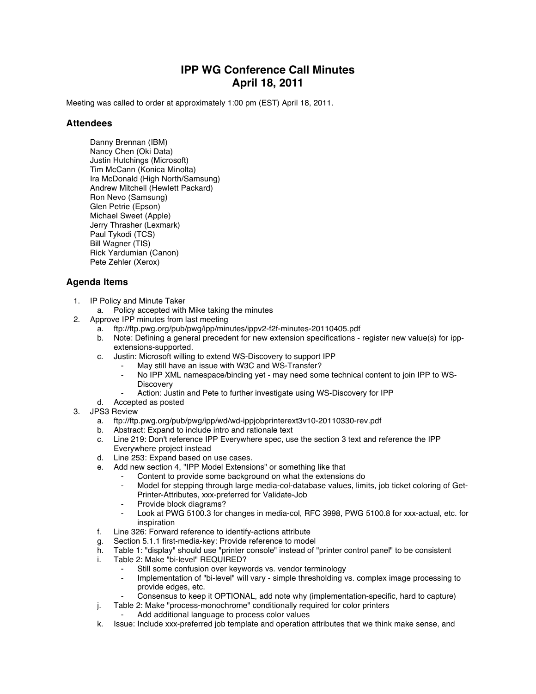## **IPP WG Conference Call Minutes April 18, 2011**

Meeting was called to order at approximately 1:00 pm (EST) April 18, 2011.

## **Attendees**

Danny Brennan (IBM) Nancy Chen (Oki Data) Justin Hutchings (Microsoft) Tim McCann (Konica Minolta) Ira McDonald (High North/Samsung) Andrew Mitchell (Hewlett Packard) Ron Nevo (Samsung) Glen Petrie (Epson) Michael Sweet (Apple) Jerry Thrasher (Lexmark) Paul Tykodi (TCS) Bill Wagner (TIS) Rick Yardumian (Canon) Pete Zehler (Xerox)

## **Agenda Items**

- 1. IP Policy and Minute Taker
	- a. Policy accepted with Mike taking the minutes
- 2. Approve IPP minutes from last meeting
	- a. ftp://ftp.pwg.org/pub/pwg/ipp/minutes/ippv2-f2f-minutes-20110405.pdf
	- b. Note: Defining a general precedent for new extension specifications register new value(s) for ippextensions-supported.
	- c. Justin: Microsoft willing to extend WS-Discovery to support IPP
		- May still have an issue with W3C and WS-Transfer?
		- No IPP XML namespace/binding yet may need some technical content to join IPP to WS-**Discovery**
		- Action: Justin and Pete to further investigate using WS-Discovery for IPP
	- d. Accepted as posted
- 3. JPS3 Review
	- a. ftp://ftp.pwg.org/pub/pwg/ipp/wd/wd-ippjobprinterext3v10-20110330-rev.pdf
	- b. Abstract: Expand to include intro and rationale text
	- c. Line 219: Don't reference IPP Everywhere spec, use the section 3 text and reference the IPP Everywhere project instead
	- d. Line 253: Expand based on use cases.
	- e. Add new section 4, "IPP Model Extensions" or something like that
		- Content to provide some background on what the extensions do
		- Model for stepping through large media-col-database values, limits, job ticket coloring of Get-Printer-Attributes, xxx-preferred for Validate-Job
		- Provide block diagrams?
		- Look at PWG 5100.3 for changes in media-col, RFC 3998, PWG 5100.8 for xxx-actual, etc. for inspiration
	- f. Line 326: Forward reference to identify-actions attribute
	- g. Section 5.1.1 first-media-key: Provide reference to model<br>h. Table 1: "display" should use "printer console" instead of '
	- Table 1: "display" should use "printer console" instead of "printer control panel" to be consistent
	- i. Table 2: Make "bi-level" REQUIRED?
		- Still some confusion over keywords vs. vendor terminology
		- Implementation of "bi-level" will vary simple thresholding vs. complex image processing to provide edges, etc.
		- Consensus to keep it OPTIONAL, add note why (implementation-specific, hard to capture)
	- j. Table 2: Make "process-monochrome" conditionally required for color printers Add additional language to process color values
	- k. Issue: Include xxx-preferred job template and operation attributes that we think make sense, and